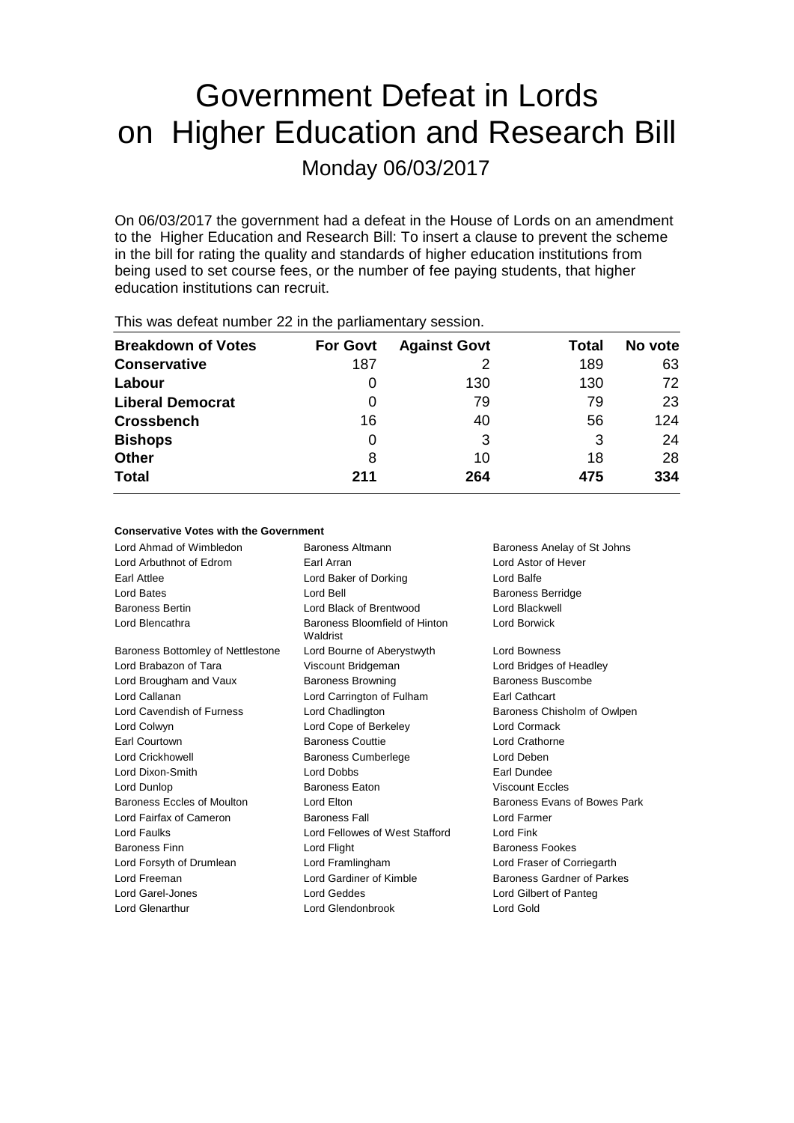# Government Defeat in Lords on Higher Education and Research Bill

Monday 06/03/2017

On 06/03/2017 the government had a defeat in the House of Lords on an amendment to the Higher Education and Research Bill: To insert a clause to prevent the scheme in the bill for rating the quality and standards of higher education institutions from being used to set course fees, or the number of fee paying students, that higher education institutions can recruit.

| This was assembly training ze in this parliamentally second in |                 |                     |       |         |
|----------------------------------------------------------------|-----------------|---------------------|-------|---------|
| <b>Breakdown of Votes</b>                                      | <b>For Govt</b> | <b>Against Govt</b> | Total | No vote |
| <b>Conservative</b>                                            | 187             |                     | 189   | 63      |
| Labour                                                         |                 | 130                 | 130   | 72      |
| <b>Liberal Democrat</b>                                        | 0               | 79                  | 79    | 23      |
| <b>Crossbench</b>                                              | 16              | 40                  | 56    | 124     |
| <b>Bishops</b>                                                 | 0               | 3                   | 3     | 24      |
| <b>Other</b>                                                   | 8               | 10                  | 18    | 28      |
| <b>Total</b>                                                   | 211             | 264                 | 475   | 334     |
|                                                                |                 |                     |       |         |

This was defeat number 22 in the parliamentary session.

# **Conservative Votes with the Government**

Lord Ahmad of Wimbledon **Baroness Altmann** Baroness Anelay of St Johns<br> **Baroness Anelay of St Johns**<br>
Baroness Anelay of St Johns<br>
Baroness Anelay of St Johns Lord Arbuthnot of Edrom Earl Arran Earl Attlee Lord Baker of Dorking Lord Balfe Lord Bates **Lord Bell** Baroness Berridge Baroness Bertin Lord Black of Brentwood Lord Blackwell Lord Blencathra **Baroness** Bloomfield of Hinton Waldrist Lord Borwick Baroness Bottomley of Nettlestone Lord Bourne of Aberystwyth Lord Bowness Lord Brabazon of Tara Viscount Bridgeman Lord Bridges of Headley Lord Brougham and Vaux **Baroness Browning** Baroness Buscombe Lord Callanan Lord Carrington of Fulham Earl Cathcart Lord Cavendish of Furness Lord Chadlington **Baroness Chisholm of Owlpen** Lord Colwyn Lord Cope of Berkeley Lord Cormack Earl Courtown Baroness Couttie Lord Crathorne Lord Crickhowell Baroness Cumberlege Lord Deben Lord Dixon-Smith Lord Dobbs Earl Dundee Lord Dunlop Baroness Eaton Viscount Eccles Baroness Eccles of Moulton Lord Elton **Baroness** Evans of Bowes Park Lord Fairfax of Cameron Baroness Fall Lord Farmer Lord Faulks Lord Fellowes of West Stafford Lord Fink Baroness Finn **Baroness Fookes Lord Flight Baroness Fookes** Lord Forsyth of Drumlean Lord Framlingham Lord Fraser of Corriegarth Lord Freeman Lord Gardiner of Kimble Baroness Gardner of Parkes Lord Garel-Jones Lord Geddes Lord Gilbert of Panteg Lord Glenarthur Lord Glendonbrook Lord Gold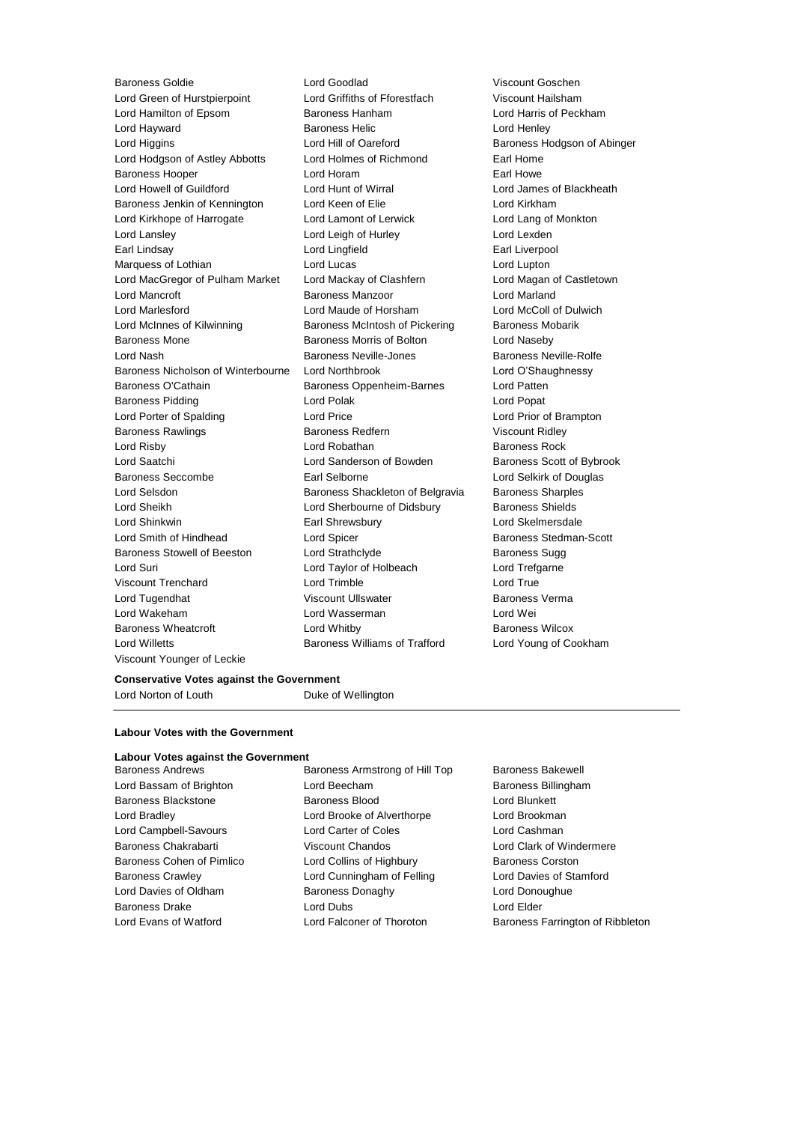Lord Green of Hurstpierpoint Lord Griffiths of Fforestfach Viscount Hailsham Lord Hamilton of Epsom **Baroness Hanham Baroness Hanham** Lord Harris of Peckham Lord Hayward Baroness Helic Lord Henley Lord Higgins **Lord Hill of Oareford** Baroness Hodgson of Abinger Lord Hodgson of Astley Abbotts Lord Holmes of Richmond Earl Home Baroness Hooper **Lord Horam Earl Howe** Earl Howe Lord Howell of Guildford Lord Hunt of Wirral Lord James of Blackheath Baroness Jenkin of Kennington Lord Keen of Elie Lord Kirkham Lord Kirkhope of Harrogate Lord Lamont of Lerwick Lord Lang of Monkton Lord Lansley **Lord Leigh of Hurley** Lord Lexden Earl Lindsay **Lord Lingfield** Earl Liverpool Lord Lingfield Earl Liverpool Marquess of Lothian **Lord Lucas** Lord Lupton Lord Lupton Lord MacGregor of Pulham Market Lord Mackay of Clashfern Lord Magan of Castletown Lord Mancroft **Baroness Manzoor** Baroness Manzoor **Lord Marland** Lord Marlesford Lord Maude of Horsham Lord McColl of Dulwich Lord McInnes of Kilwinning Baroness McIntosh of Pickering Baroness Mobarik Baroness Mone **Baroness Morris of Bolton** Lord Naseby Lord Nash Baroness Neville-Jones Baroness Neville-Rolfe Baroness Nicholson of Winterbourne Lord Northbrook Lord O'Shaughnessy Baroness O'Cathain Baroness Oppenheim-Barnes Lord Patten Baroness Pidding Lord Polak Lord Popat Lord Porter of Spalding Lord Price Lord Prior of Brampton Baroness Rawlings Baroness Redfern Viscount Ridley Lord Risby **Lord Robathan** Baroness Rock **Lord Robathan** Baroness Rock Lord Saatchi **Lord Sanderson of Bowden** Baroness Scott of Bybrook Baroness Seccombe **Earl Selborne Earl Selborne Lord Selkirk of Douglas** Lord Selsdon **Baroness Shackleton of Belgravia** Baroness Sharples Lord Sheikh **Lord Sherbourne of Didsbury** Baroness Shields Lord Shinkwin Earl Shrewsbury Lord Skelmersdale Lord Smith of Hindhead **Lord Spicer Lord Stedman-Scott Baroness Stedman-Scott** Baroness Stowell of Beeston Lord Strathclyde **Baroness Sugg** Baroness Sugg Lord Suri Lord Taylor of Holbeach Lord Trefgarne Viscount Trenchard Lord Trimble Lord True Lord Tugendhat Viscount Ullswater Baroness Verma Lord Wakeham Lord Wasserman Lord Wei Baroness Wheatcroft **Lord Whitby Baroness Wilcox Baroness Wilcox** Lord Willetts Baroness Williams of Trafford Lord Young of Cookham Viscount Younger of Leckie

Baroness Goldie Lord Goodlad Viscount Goschen

## **Conservative Votes against the Government**

Lord Norton of Louth Duke of Wellington

## **Labour Votes with the Government**

# **Labour Votes against the Government**

Baroness Andrews Baroness Armstrong of Hill Top Baroness Bakewell Lord Bassam of Brighton **Lord Beecham Baroness Billingham** Baroness Blackstone **Baroness Blood** Baroness Blood Lord Blunkett Lord Bradley Lord Brooke of Alverthorpe Lord Brookman Lord Campbell-Savours Lord Carter of Coles Lord Cashman Baroness Chakrabarti **Viscount Chandos** Chandos Lord Clark of Windermere Baroness Cohen of Pimlico **Lord Collins of Highbury** Baroness Corston Baroness Crawley Lord Cunningham of Felling Lord Davies of Stamford Lord Davies of Oldham Baroness Donaghy Lord Donoughue Baroness Drake **Lord Dubs** Lord Dubs **Lord Elder** 

Lord Evans of Watford Lord Falconer of Thoroton Baroness Farrington of Ribbleton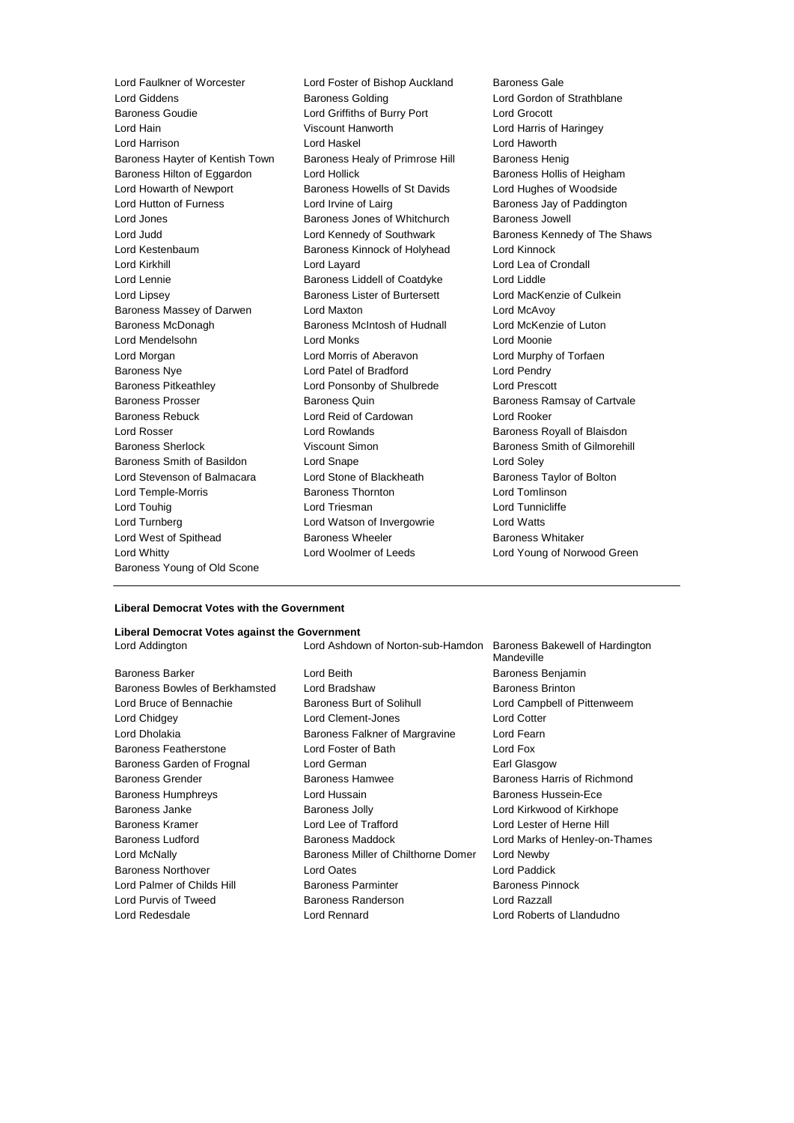Lord Giddens **Baroness Golding Lord Gordon of Strathblane** Baroness Goudie Lord Griffiths of Burry Port Lord Grocott Lord Hain Viscount Hanworth Lord Harris of Haringey Lord Harrison Lord Haskel Lord Haworth Baroness Hayter of Kentish Town Baroness Healy of Primrose Hill Baroness Henig Baroness Hilton of Eggardon Lord Hollick **Baroness Hollis of Heigham** Lord Howarth of Newport Baroness Howells of St Davids Lord Hughes of Woodside Lord Hutton of Furness **Lord Irvine of Lairg** Baroness Jay of Paddington Lord Jones **Baroness Jones of Whitchurch** Baroness Jowell Lord Judd **Lord Kennedy of Southwark** Baroness Kennedy of The Shaws Lord Kestenbaum Baroness Kinnock of Holyhead Lord Kinnock Lord Kirkhill Lord Layard Lord Lea of Crondall Lord Lennie **Baroness Liddell of Coatdyke** Lord Liddle Lord Lipsey Baroness Lister of Burtersett Lord MacKenzie of Culkein Baroness Massey of Darwen Lord Maxton Lord McAvoy Baroness McDonagh Baroness McIntosh of Hudnall Lord McKenzie of Luton Lord Mendelsohn Lord Monks Lord Moonie Lord Morgan Lord Morris of Aberavon Lord Murphy of Torfaen Baroness Nye Lord Patel of Bradford Lord Pendry Baroness Pitkeathley Lord Ponsonby of Shulbrede Lord Prescott Baroness Prosser **Baroness Australian Baroness Cuin** Baroness Ramsay of Cartvale Baroness Rebuck Lord Reid of Cardowan Lord Rooker Lord Rosser **Lord Rowlands** Baroness Royall of Blaisdon Baroness Sherlock **Viscount Simon** Baroness Smith of Gilmorehill Baroness Smith of Basildon Lord Snape Lord Soley Lord Stevenson of Balmacara Lord Stone of Blackheath Baroness Taylor of Bolton Lord Temple-Morris Baroness Thornton Lord Tomlinson Lord Touhig Lord Triesman Lord Tunnicliffe Lord Turnberg Lord Watson of Invergowrie Lord Watts Lord West of Spithead **Baroness Wheeler** Baroness Whitaker Lord Whitty Lord Woolmer of Leeds Lord Young of Norwood Green Baroness Young of Old Scone

Lord Faulkner of Worcester **Lord Foster of Bishop Auckland** Baroness Gale

# **Liberal Democrat Votes with the Government**

#### **Liberal Democrat Votes against the Government**

Baroness Barker **Lord Beith** Baroness Benjamin Baroness Bowles of Berkhamsted Lord Bradshaw Baroness Brinton Lord Bruce of Bennachie Baroness Burt of Solihull Lord Campbell of Pittenweem Lord Chidgey Lord Clement-Jones Lord Cotter Lord Dholakia **Baroness Falkner of Margravine** Lord Fearn Baroness Featherstone Lord Foster of Bath Lord Fox Baroness Garden of Frognal Lord German **Earl Glasgow** Earl Glasgow Baroness Grender Baroness Hamwee Baroness Harris of Richmond Baroness Humphreys Lord Hussain Baroness Hussein-Ece Baroness Janke **Baroness Jolly** Baroness Jolly **Lord Kirkwood of Kirkhope** Baroness Kramer Lord Lee of Trafford Lord Lester of Herne Hill Baroness Ludford **Baroness Maddock Lord Marks of Henley-on-Thames Baroness Maddock Lord Marks of Henley-on-Thames** Lord McNally Baroness Miller of Chilthorne Domer Lord Newby Baroness Northover Lord Oates Lord Paddick Lord Palmer of Childs Hill Baroness Parminter Baroness Parminter Baroness Pinnock Lord Purvis of Tweed Baroness Randerson Lord Razzall Lord Redesdale Lord Rennard Lord Roberts of Llandudno

Lord Addington Lord Ashdown of Norton-sub-Hamdon Baroness Bakewell of Hardington Mandeville